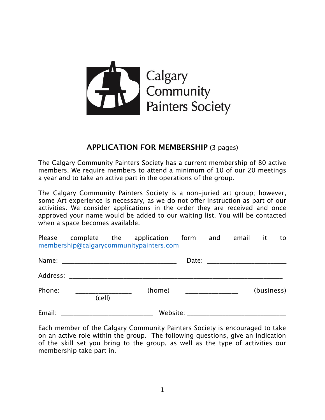

# **APPLICATION FOR MEMBERSHIP** (3 pages)

The Calgary Community Painters Society has a current membership of 80 active members. We require members to attend a minimum of 10 of our 20 meetings a year and to take an active part in the operations of the group.

The Calgary Community Painters Society is a non-juried art group; however, some Art experience is necessary, as we do not offer instruction as part of our activities. We consider applications in the order they are received and once approved your name would be added to our waiting list. You will be contacted when a space becomes available.

Please complete the application form and email it to [membership@calgarycommunitypainters.com](mailto:membership@calgarycommunitypainters.com)

| Name:    |        |          |            |
|----------|--------|----------|------------|
| Address: |        |          |            |
| Phone:   | (cell) | (home)   | (business) |
| Email:   |        | Website: |            |

Each member of the Calgary Community Painters Society is encouraged to take on an active role within the group. The following questions, give an indication of the skill set you bring to the group, as well as the type of activities our membership take part in.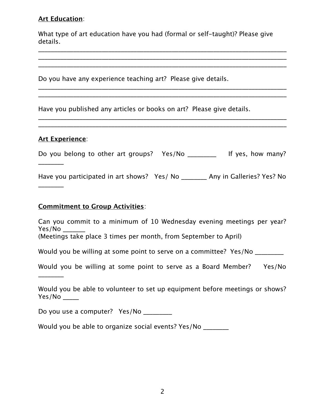## **Art Education**:

What type of art education have you had (formal or self-taught)? Please give details.

\_\_\_\_\_\_\_\_\_\_\_\_\_\_\_\_\_\_\_\_\_\_\_\_\_\_\_\_\_\_\_\_\_\_\_\_\_\_\_\_\_\_\_\_\_\_\_\_\_\_\_\_\_\_\_\_\_\_\_\_\_\_\_\_\_\_\_\_\_\_\_\_\_\_\_\_\_\_ \_\_\_\_\_\_\_\_\_\_\_\_\_\_\_\_\_\_\_\_\_\_\_\_\_\_\_\_\_\_\_\_\_\_\_\_\_\_\_\_\_\_\_\_\_\_\_\_\_\_\_\_\_\_\_\_\_\_\_\_\_\_\_\_\_\_\_\_\_\_\_\_\_\_\_\_\_\_

\_\_\_\_\_\_\_\_\_\_\_\_\_\_\_\_\_\_\_\_\_\_\_\_\_\_\_\_\_\_\_\_\_\_\_\_\_\_\_\_\_\_\_\_\_\_\_\_\_\_\_\_\_\_\_\_\_\_\_\_\_\_\_\_\_\_\_\_\_\_\_\_\_\_\_\_\_\_ \_\_\_\_\_\_\_\_\_\_\_\_\_\_\_\_\_\_\_\_\_\_\_\_\_\_\_\_\_\_\_\_\_\_\_\_\_\_\_\_\_\_\_\_\_\_\_\_\_\_\_\_\_\_\_\_\_\_\_\_\_\_\_\_\_\_\_\_\_\_\_\_\_\_\_\_\_\_

\_\_\_\_\_\_\_\_\_\_\_\_\_\_\_\_\_\_\_\_\_\_\_\_\_\_\_\_\_\_\_\_\_\_\_\_\_\_\_\_\_\_\_\_\_\_\_\_\_\_\_\_\_\_\_\_\_\_\_\_\_\_\_\_\_\_\_\_\_\_\_\_\_\_\_\_\_\_ \_\_\_\_\_\_\_\_\_\_\_\_\_\_\_\_\_\_\_\_\_\_\_\_\_\_\_\_\_\_\_\_\_\_\_\_\_\_\_\_\_\_\_\_\_\_\_\_\_\_\_\_\_\_\_\_\_\_\_\_\_\_\_\_\_\_\_\_\_\_\_\_\_\_\_\_\_\_

Do you have any experience teaching art? Please give details.

Have you published any articles or books on art? Please give details.

#### **Art Experience**:

\_\_\_\_\_\_\_\_

 $\frac{1}{2}$ 

\_\_\_\_\_\_\_\_

Do you belong to other art groups? Yes/No \_\_\_\_\_\_\_\_\_\_ If yes, how many?

Have you participated in art shows? Yes/ No \_\_\_\_\_\_\_\_ Any in Galleries? Yes? No

### **Commitment to Group Activities**:

Can you commit to a minimum of 10 Wednesday evening meetings per year? Yes/No \_\_\_\_\_\_\_ (Meetings take place 3 times per month, from September to April)

Would you be willing at some point to serve on a committee? Yes/No \_\_\_\_\_\_\_\_

Would you be willing at some point to serve as a Board Member? Yes/No

Would you be able to volunteer to set up equipment before meetings or shows? Yes/No \_\_\_\_\_

Do you use a computer? Yes/No \_\_\_\_\_\_\_\_

Would you be able to organize social events? Yes/No \_\_\_\_\_\_\_\_